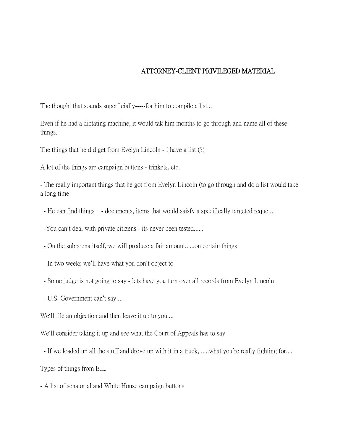## ATTORNEY-CLIENT PRIVILEGED MATERIAL

The thought that sounds superficially-----for him to compile a list...

Even if he had a dictating machine, it would tak him months to go through and name all of these things.

The things that he did get from Evelyn Lincoln - I have a list (?)

A lot of the things are campaign buttons - trinkets, etc.

- The really important things that he got from Evelyn Lincoln (to go through and do a list would take a long time

- He can find things - documents, items that would saisfy a specifically targeted requet...

-You can't deal with private citizens - its never been tested......

- On the subpoena itself, we will produce a fair amount......on certain things

- In two weeks we'll have what you don't object to

- Some judge is not going to say - lets have you turn over all records from Evelyn Lincoln

- U.S. Government can't say....

We'll file an objection and then leave it up to you....

We'll consider taking it up and see what the Court of Appeals has to say

- If we loaded up all the stuff and drove up with it in a truck, .....what you're really fighting for....

Types of things from E.L.

- A list of senatorial and White House campaign buttons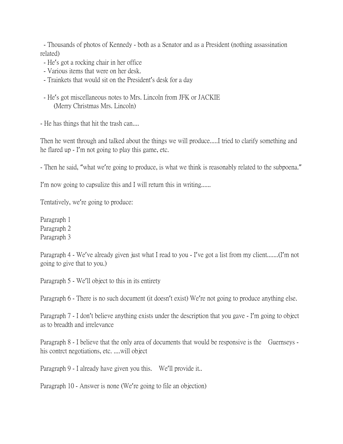- Thousands of photos of Kennedy - both as a Senator and as a President (nothing assassination related)

- He's got a rocking chair in her office
- Various items that were on her desk.
- Trainkets that would sit on the President's desk for a day
- He's got miscellaneous notes to Mrs. Lincoln from JFK or JACKIE (Merry Christmas Mrs. Lincoln)

- He has things that hit the trash can....

Then he went through and talked about the things we will produce.....I tried to clarify something and he flared up - I'm not going to play this game, etc.

- Then he said, "what we're going to produce, is what we think is reasonably related to the subpoena."

I'm now going to capsulize this and I will return this in writing......

Tentatively, we're going to produce:

Paragraph 1 Paragraph 2 Paragraph 3

Paragraph 4 - We've already given just what I read to you - I've got a list from my client.......(I'm not going to give that to you.)

Paragraph 5 - We'll object to this in its entirety

Paragraph 6 - There is no such document (it doesn't exist) We're not going to produce anything else.

Paragraph 7 - I don't believe anything exists under the description that you gave - I'm going to object as to breadth and irrelevance

Paragraph 8 - I believe that the only area of documents that would be responsive is the Guernseys his contrct negotiations, etc. ....will object

Paragraph 9 - I already have given you this. We'll provide it..

Paragraph 10 - Answer is none (We're going to file an objection)